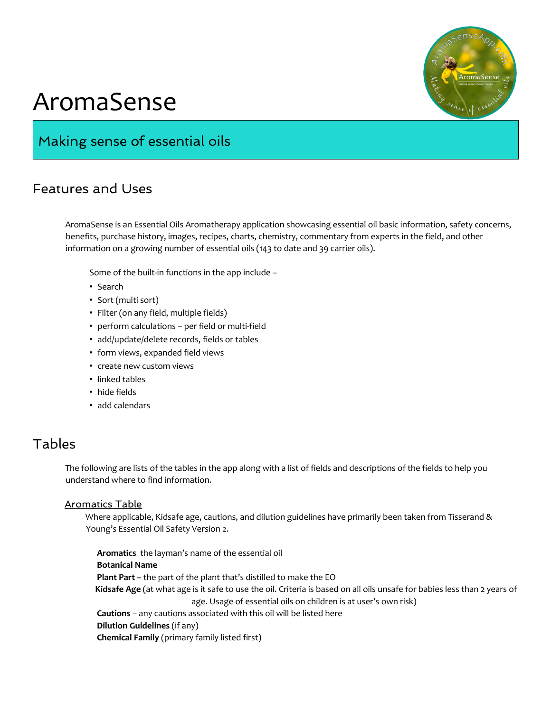

# AromaSense

# Making sense of essential oils

## Features and Uses

AromaSense is an Essential Oils Aromatherapy application showcasing essential oil basic information, safety concerns, benefits, purchase history, images, recipes, charts, chemistry, commentary from experts in the field, and other information on a growing number of essential oils (143 to date and 39 carrier oils).

Some of the built-in functions in the app include –

- Search
- Sort (multi sort)
- Filter (on any field, multiple fields)
- perform calculations per field or multi-field
- add/update/delete records, fields or tables
- form views, expanded field views
- create new custom views
- linked tables
- hide fields
- add calendars

## Tables

The following are lists of the tables in the app along with a list of fields and descriptions of the fields to help you understand where to find information.

#### Aromatics Table

Where applicable, Kidsafe age, cautions, and dilution guidelines have primarily been taken from Tisserand & Young's Essential Oil Safety Version 2.

**Aromatics** the layman's name of the essential oil **Botanical Name Plant Part –** the part of the plant that's distilled to make the EO  **Kidsafe Age** (at what age is it safe to use the oil. Criteria is based on all oils unsafe for babies less than 2 years of age. Usage of essential oils on children is at user's own risk) **Cautions** – any cautions associated with this oil will be listed here **Dilution Guidelines** (if any) **Chemical Family** (primary family listed first)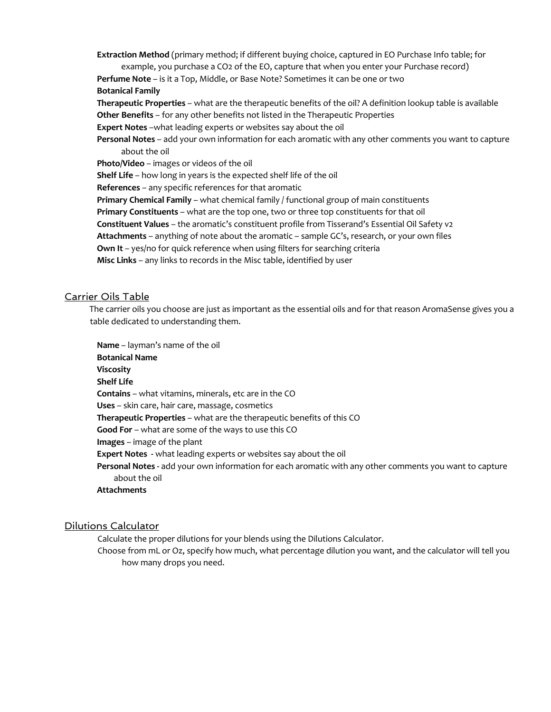**Extraction Method** (primary method; if different buying choice, captured in EO Purchase Info table; for example, you purchase a CO2 of the EO, capture that when you enter your Purchase record) **Perfume Note** – is it a Top, Middle, or Base Note? Sometimes it can be one or two **Botanical Family Therapeutic Properties** – what are the therapeutic benefits of the oil? A definition lookup table is available **Other Benefits** – for any other benefits not listed in the Therapeutic Properties **Expert Notes** –what leading experts or websites say about the oil **Personal Notes** – add your own information for each aromatic with any other comments you want to capture about the oil **Photo/Video** – images or videos of the oil **Shelf Life** – how long in years is the expected shelf life of the oil **References** – any specific references for that aromatic **Primary Chemical Family** – what chemical family / functional group of main constituents **Primary Constituents** – what are the top one, two or three top constituents for that oil **Constituent Values** – the aromatic's constituent profile from Tisserand's Essential Oil Safety v2 **Attachments** – anything of note about the aromatic – sample GC's, research, or your own files **Own It** – yes/no for quick reference when using filters for searching criteria **Misc Links** – any links to records in the Misc table, identified by user

#### Carrier Oils Table

The carrier oils you choose are just as important as the essential oils and for that reason AromaSense gives you a table dedicated to understanding them.

**Name** – layman's name of the oil **Botanical Name Viscosity Shelf Life Contains** – what vitamins, minerals, etc are in the CO **Uses** – skin care, hair care, massage, cosmetics **Therapeutic Properties** – what are the therapeutic benefits of this CO **Good For** – what are some of the ways to use this CO **Images** – image of the plant **Expert Notes -** what leading experts or websites say about the oil **Personal Notes -** add your own information for each aromatic with any other comments you want to capture about the oil **Attachments** 

#### Dilutions Calculator

Calculate the proper dilutions for your blends using the Dilutions Calculator.

Choose from mL or Oz, specify how much, what percentage dilution you want, and the calculator will tell you how many drops you need.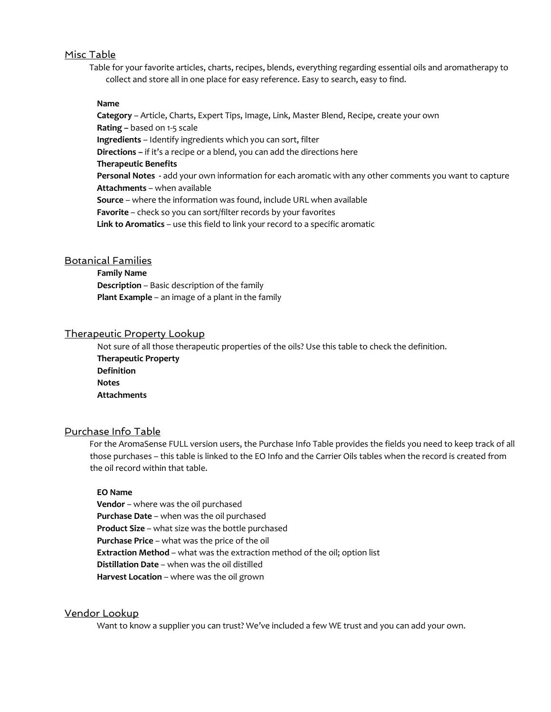#### Misc Table

Table for your favorite articles, charts, recipes, blends, everything regarding essential oils and aromatherapy to collect and store all in one place for easy reference. Easy to search, easy to find.

#### **Name**

**Category** – Article, Charts, Expert Tips, Image, Link, Master Blend, Recipe, create your own **Rating –** based on 1-5 scale **Ingredients** – Identify ingredients which you can sort, filter **Directions –** if it's a recipe or a blend, you can add the directions here **Therapeutic Benefits Personal Notes -** add your own information for each aromatic with any other comments you want to capture **Attachments** – when available **Source** – where the information was found, include URL when available **Favorite** – check so you can sort/filter records by your favorites **Link to Aromatics** – use this field to link your record to a specific aromatic

#### Botanical Families

**Family Name Description** – Basic description of the family **Plant Example** – an image of a plant in the family

#### Therapeutic Property Lookup

Not sure of all those therapeutic properties of the oils? Use this table to check the definition. **Therapeutic Property Definition Notes Attachments**

#### Purchase Info Table

For the AromaSense FULL version users, the Purchase Info Table provides the fields you need to keep track of all those purchases – this table is linked to the EO Info and the Carrier Oils tables when the record is created from the oil record within that table.

#### **EO Name**

**Vendor** – where was the oil purchased **Purchase Date** – when was the oil purchased **Product Size** – what size was the bottle purchased **Purchase Price** – what was the price of the oil **Extraction Method** – what was the extraction method of the oil; option list **Distillation Date** – when was the oil distilled **Harvest Location** – where was the oil grown

#### Vendor Lookup

Want to know a supplier you can trust? We've included a few WE trust and you can add your own.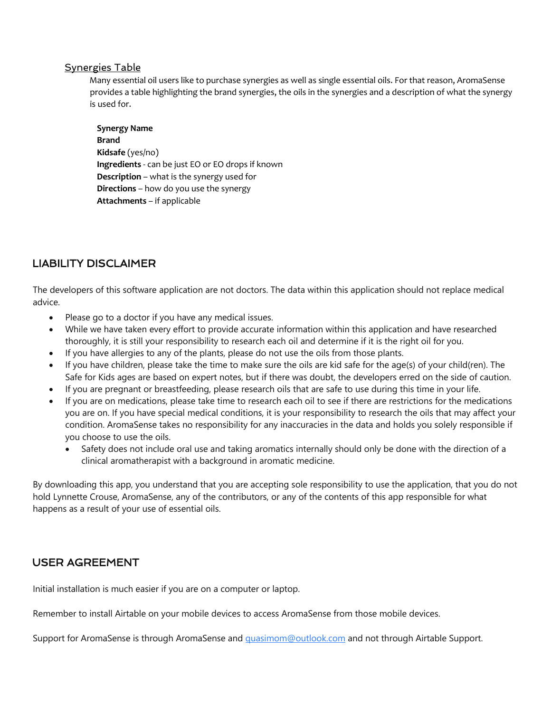#### Synergies Table

Many essential oil users like to purchase synergies as well as single essential oils. For that reason, AromaSense provides a table highlighting the brand synergies, the oils in the synergies and a description of what the synergy is used for.

**Synergy Name Brand Kidsafe** (yes/no) **Ingredients** - can be just EO or EO drops if known **Description** – what is the synergy used for **Directions** – how do you use the synergy **Attachments** – if applicable

## LIABILITY DISCLAIMER

The developers of this software application are not doctors. The data within this application should not replace medical advice.

- Please go to a doctor if you have any medical issues.
- While we have taken every effort to provide accurate information within this application and have researched thoroughly, it is still your responsibility to research each oil and determine if it is the right oil for you.
- If you have allergies to any of the plants, please do not use the oils from those plants.
- If you have children, please take the time to make sure the oils are kid safe for the age(s) of your child(ren). The Safe for Kids ages are based on expert notes, but if there was doubt, the developers erred on the side of caution.
- If you are pregnant or breastfeeding, please research oils that are safe to use during this time in your life.
- If you are on medications, please take time to research each oil to see if there are restrictions for the medications you are on. If you have special medical conditions, it is your responsibility to research the oils that may affect your condition. AromaSense takes no responsibility for any inaccuracies in the data and holds you solely responsible if you choose to use the oils.
	- Safety does not include oral use and taking aromatics internally should only be done with the direction of a clinical aromatherapist with a background in aromatic medicine.

By downloading this app, you understand that you are accepting sole responsibility to use the application, that you do not hold Lynnette Crouse, AromaSense, any of the contributors, or any of the contents of this app responsible for what happens as a result of your use of essential oils.

### USER AGREEMENT

Initial installation is much easier if you are on a computer or laptop.

Remember to install Airtable on your mobile devices to access AromaSense from those mobile devices.

Support for AromaSense is through AromaSense and *quasimom@outlook.com* and not through Airtable Support.